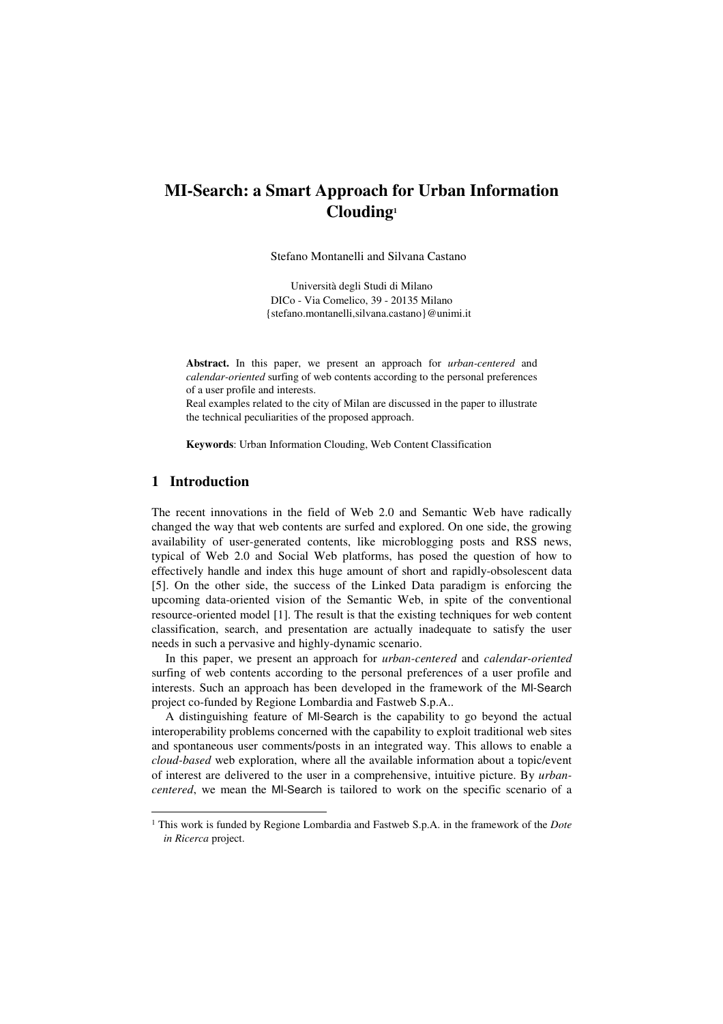# **MI-Search: a Smart Approach for Urban Information Clouding<sup>1</sup>**

Stefano Montanelli and Silvana Castano

Università degli Studi di Milano DICo - Via Comelico, 39 - 20135 Milano {stefano.montanelli,silvana.castano}@unimi.it

**Abstract.** In this paper, we present an approach for *urban-centered* and *calendar-oriented* surfing of web contents according to the personal preferences of a user profile and interests.

Real examples related to the city of Milan are discussed in the paper to illustrate the technical peculiarities of the proposed approach.

**Keywords**: Urban Information Clouding, Web Content Classification

# **1 Introduction**

j

The recent innovations in the field of Web 2.0 and Semantic Web have radically changed the way that web contents are surfed and explored. On one side, the growing availability of user-generated contents, like microblogging posts and RSS news, typical of Web 2.0 and Social Web platforms, has posed the question of how to effectively handle and index this huge amount of short and rapidly-obsolescent data [5]. On the other side, the success of the Linked Data paradigm is enforcing the upcoming data-oriented vision of the Semantic Web, in spite of the conventional resource-oriented model [1]. The result is that the existing techniques for web content classification, search, and presentation are actually inadequate to satisfy the user needs in such a pervasive and highly-dynamic scenario.

In this paper, we present an approach for *urban-centered* and *calendar-oriented* surfing of web contents according to the personal preferences of a user profile and interests. Such an approach has been developed in the framework of the MI-Search project co-funded by Regione Lombardia and Fastweb S.p.A..

A distinguishing feature of MI-Search is the capability to go beyond the actual interoperability problems concerned with the capability to exploit traditional web sites and spontaneous user comments/posts in an integrated way. This allows to enable a *cloud-based* web exploration, where all the available information about a topic/event of interest are delivered to the user in a comprehensive, intuitive picture. By *urbancentered*, we mean the MI-Search is tailored to work on the specific scenario of a

<sup>1</sup> This work is funded by Regione Lombardia and Fastweb S.p.A. in the framework of the *Dote in Ricerca* project.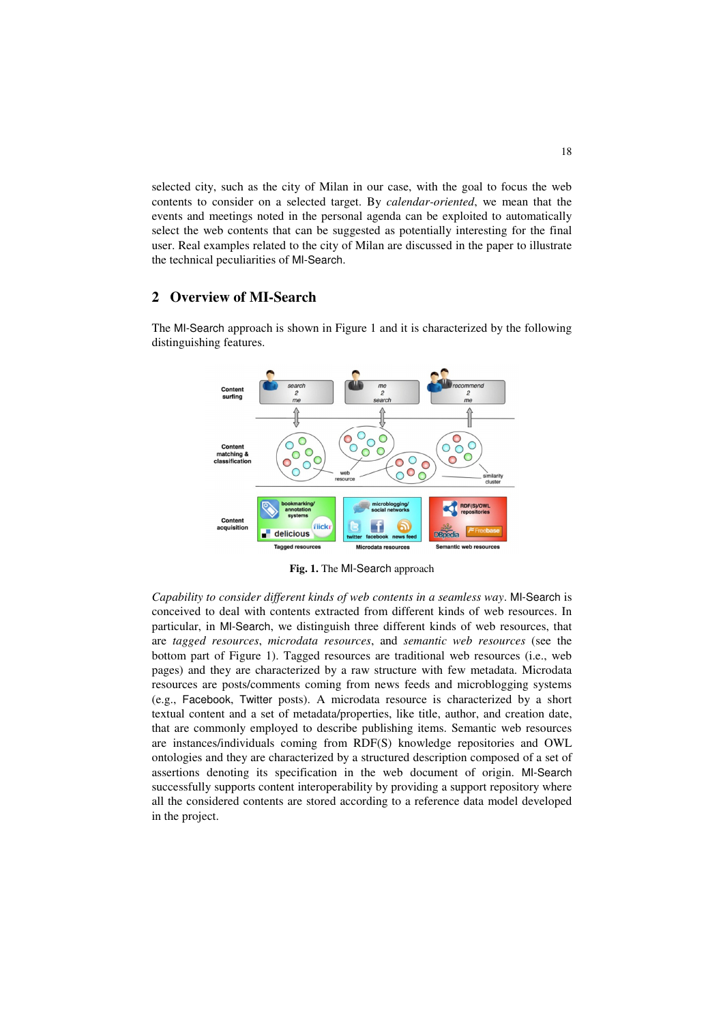selected city, such as the city of Milan in our case, with the goal to focus the web contents to consider on a selected target. By *calendar-oriented*, we mean that the events and meetings noted in the personal agenda can be exploited to automatically select the web contents that can be suggested as potentially interesting for the final user. Real examples related to the city of Milan are discussed in the paper to illustrate the technical peculiarities of MI-Search.

# **2 Overview of MI-Search**



The MI-Search approach is shown in Figure 1 and it is characterized by the following distinguishing features.

**Fig. 1.** The MI-Search approach

*Capability to consider different kinds of web contents in a seamless way*. MI-Search is conceived to deal with contents extracted from different kinds of web resources. In particular, in MI-Search, we distinguish three different kinds of web resources, that are *tagged resources*, *microdata resources*, and *semantic web resources* (see the bottom part of Figure 1). Tagged resources are traditional web resources (i.e., web pages) and they are characterized by a raw structure with few metadata. Microdata resources are posts/comments coming from news feeds and microblogging systems (e.g., Facebook, Twitter posts). A microdata resource is characterized by a short textual content and a set of metadata/properties, like title, author, and creation date, that are commonly employed to describe publishing items. Semantic web resources are instances/individuals coming from RDF(S) knowledge repositories and OWL ontologies and they are characterized by a structured description composed of a set of assertions denoting its specification in the web document of origin. MI-Search successfully supports content interoperability by providing a support repository where all the considered contents are stored according to a reference data model developed in the project.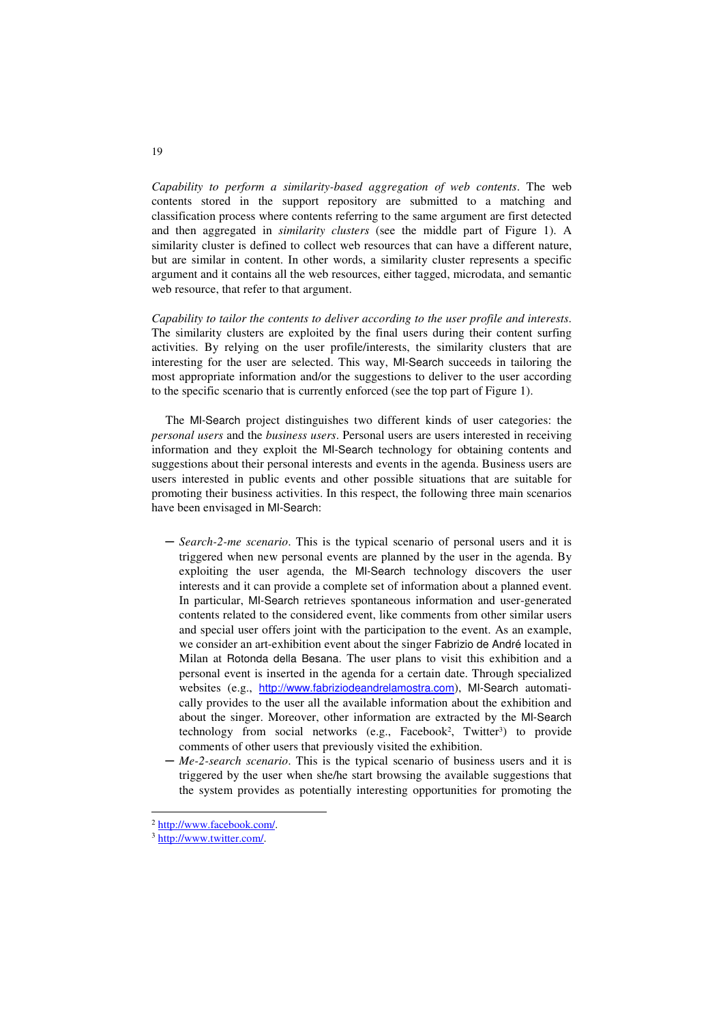*Capability to perform a similarity-based aggregation of web contents*. The web contents stored in the support repository are submitted to a matching and classification process where contents referring to the same argument are first detected and then aggregated in *similarity clusters* (see the middle part of Figure 1). A similarity cluster is defined to collect web resources that can have a different nature, but are similar in content. In other words, a similarity cluster represents a specific argument and it contains all the web resources, either tagged, microdata, and semantic web resource, that refer to that argument.

*Capability to tailor the contents to deliver according to the user profile and interests*. The similarity clusters are exploited by the final users during their content surfing activities. By relying on the user profile/interests, the similarity clusters that are interesting for the user are selected. This way, MI-Search succeeds in tailoring the most appropriate information and/or the suggestions to deliver to the user according to the specific scenario that is currently enforced (see the top part of Figure 1).

The MI-Search project distinguishes two different kinds of user categories: the *personal users* and the *business users*. Personal users are users interested in receiving information and they exploit the MI-Search technology for obtaining contents and suggestions about their personal interests and events in the agenda. Business users are users interested in public events and other possible situations that are suitable for promoting their business activities. In this respect, the following three main scenarios have been envisaged in MI-Search:

- ─ *Search-2-me scenario*. This is the typical scenario of personal users and it is triggered when new personal events are planned by the user in the agenda. By exploiting the user agenda, the MI-Search technology discovers the user interests and it can provide a complete set of information about a planned event. In particular, MI-Search retrieves spontaneous information and user-generated contents related to the considered event, like comments from other similar users and special user offers joint with the participation to the event. As an example, we consider an art-exhibition event about the singer Fabrizio de André located in Milan at Rotonda della Besana. The user plans to visit this exhibition and a personal event is inserted in the agenda for a certain date. Through specialized websites (e.g., http://www.fabriziodeandrelamostra.com), MI-Search automatically provides to the user all the available information about the exhibition and about the singer. Moreover, other information are extracted by the MI-Search technology from social networks (e.g., Facebook<sup>2</sup>, Twitter<sup>3</sup>) to provide comments of other users that previously visited the exhibition.
- ─ *Me-2-search scenario*. This is the typical scenario of business users and it is triggered by the user when she/he start browsing the available suggestions that the system provides as potentially interesting opportunities for promoting the

j

<sup>2</sup> http://www.facebook.com/.

<sup>3</sup> http://www.twitter.com/.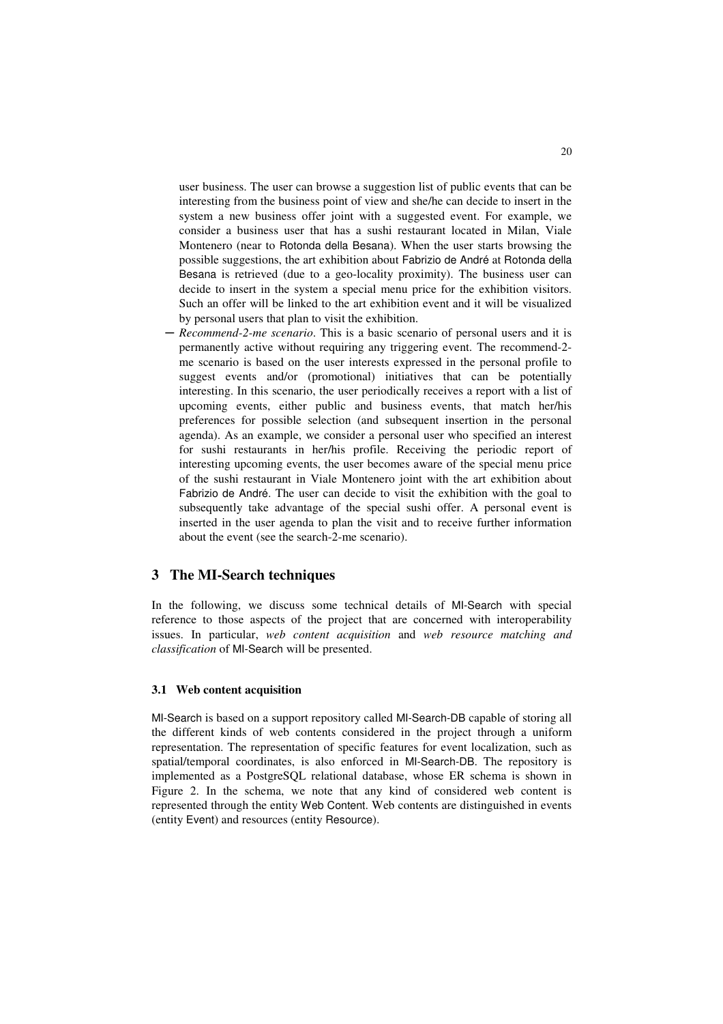user business. The user can browse a suggestion list of public events that can be interesting from the business point of view and she/he can decide to insert in the system a new business offer joint with a suggested event. For example, we consider a business user that has a sushi restaurant located in Milan, Viale Montenero (near to Rotonda della Besana). When the user starts browsing the possible suggestions, the art exhibition about Fabrizio de André at Rotonda della Besana is retrieved (due to a geo-locality proximity). The business user can decide to insert in the system a special menu price for the exhibition visitors. Such an offer will be linked to the art exhibition event and it will be visualized by personal users that plan to visit the exhibition.

─ *Recommend-2-me scenario*. This is a basic scenario of personal users and it is permanently active without requiring any triggering event. The recommend-2 me scenario is based on the user interests expressed in the personal profile to suggest events and/or (promotional) initiatives that can be potentially interesting. In this scenario, the user periodically receives a report with a list of upcoming events, either public and business events, that match her/his preferences for possible selection (and subsequent insertion in the personal agenda). As an example, we consider a personal user who specified an interest for sushi restaurants in her/his profile. Receiving the periodic report of interesting upcoming events, the user becomes aware of the special menu price of the sushi restaurant in Viale Montenero joint with the art exhibition about Fabrizio de André. The user can decide to visit the exhibition with the goal to subsequently take advantage of the special sushi offer. A personal event is inserted in the user agenda to plan the visit and to receive further information about the event (see the search-2-me scenario).

# **3 The MI-Search techniques**

In the following, we discuss some technical details of MI-Search with special reference to those aspects of the project that are concerned with interoperability issues. In particular, *web content acquisition* and *web resource matching and classification* of MI-Search will be presented.

### **3.1 Web content acquisition**

MI-Search is based on a support repository called MI-Search-DB capable of storing all the different kinds of web contents considered in the project through a uniform representation. The representation of specific features for event localization, such as spatial/temporal coordinates, is also enforced in MI-Search-DB. The repository is implemented as a PostgreSQL relational database, whose ER schema is shown in Figure 2. In the schema, we note that any kind of considered web content is represented through the entity Web Content. Web contents are distinguished in events (entity Event) and resources (entity Resource).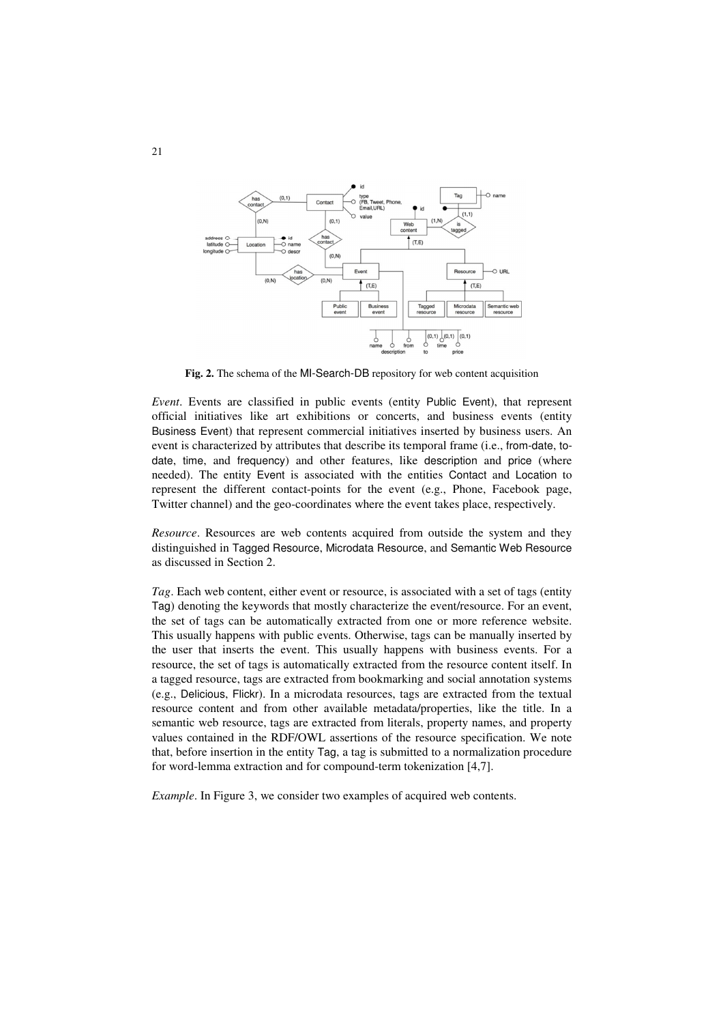

**Fig. 2.** The schema of the MI-Search-DB repository for web content acquisition

*Event*. Events are classified in public events (entity Public Event), that represent official initiatives like art exhibitions or concerts, and business events (entity Business Event) that represent commercial initiatives inserted by business users. An event is characterized by attributes that describe its temporal frame (i.e., from-date, todate, time, and frequency) and other features, like description and price (where needed). The entity Event is associated with the entities Contact and Location to represent the different contact-points for the event (e.g., Phone, Facebook page, Twitter channel) and the geo-coordinates where the event takes place, respectively.

*Resource*. Resources are web contents acquired from outside the system and they distinguished in Tagged Resource, Microdata Resource, and Semantic Web Resource as discussed in Section 2.

*Tag*. Each web content, either event or resource, is associated with a set of tags (entity Tag) denoting the keywords that mostly characterize the event/resource. For an event, the set of tags can be automatically extracted from one or more reference website. This usually happens with public events. Otherwise, tags can be manually inserted by the user that inserts the event. This usually happens with business events. For a resource, the set of tags is automatically extracted from the resource content itself. In a tagged resource, tags are extracted from bookmarking and social annotation systems (e.g., Delicious, Flickr). In a microdata resources, tags are extracted from the textual resource content and from other available metadata/properties, like the title. In a semantic web resource, tags are extracted from literals, property names, and property values contained in the RDF/OWL assertions of the resource specification. We note that, before insertion in the entity Tag, a tag is submitted to a normalization procedure for word-lemma extraction and for compound-term tokenization [4,7].

*Example*. In Figure 3, we consider two examples of acquired web contents.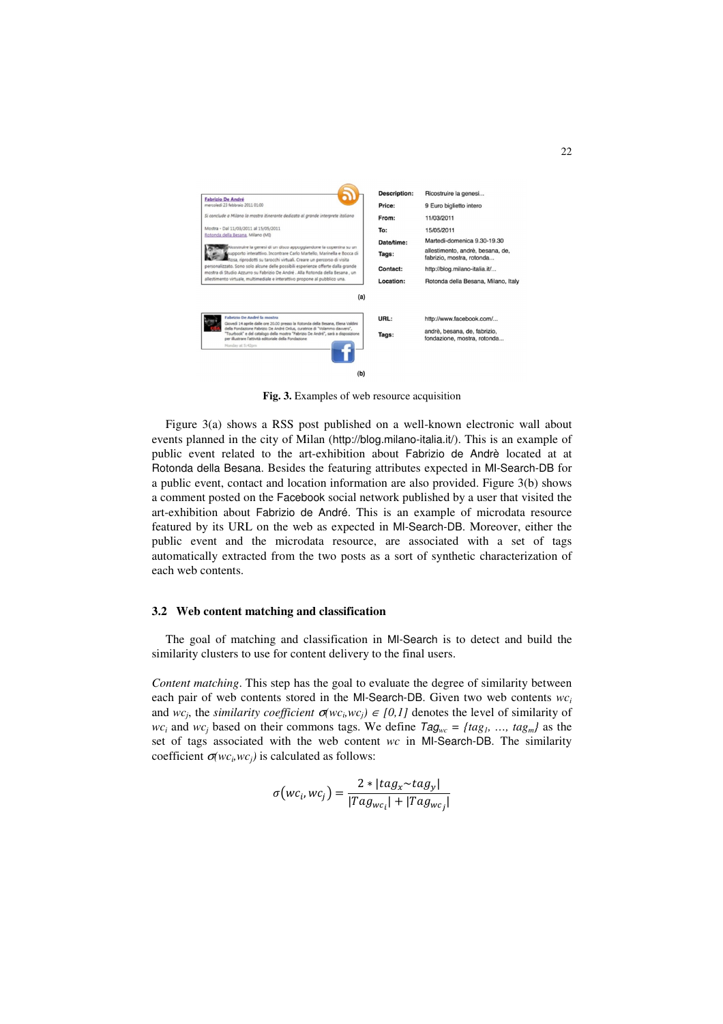

**Fig. 3.** Examples of web resource acquisition

Figure 3(a) shows a RSS post published on a well-known electronic wall about events planned in the city of Milan (http://blog.milano-italia.it/). This is an example of public event related to the art-exhibition about Fabrizio de Andrè located at at Rotonda della Besana. Besides the featuring attributes expected in MI-Search-DB for a public event, contact and location information are also provided. Figure 3(b) shows a comment posted on the Facebook social network published by a user that visited the art-exhibition about Fabrizio de André. This is an example of microdata resource featured by its URL on the web as expected in MI-Search-DB. Moreover, either the public event and the microdata resource, are associated with a set of tags automatically extracted from the two posts as a sort of synthetic characterization of each web contents.

#### **3.2 Web content matching and classification**

The goal of matching and classification in MI-Search is to detect and build the similarity clusters to use for content delivery to the final users.

*Content matching*. This step has the goal to evaluate the degree of similarity between each pair of web contents stored in the MI-Search-DB. Given two web contents *wc<sup>i</sup>* and *wc<sub>j</sub>*, the *similarity coefficient*  $\sigma(wc_i,wc_j) \in [0,1]$  denotes the level of similarity of *wc<sub>i</sub>* and *wc<sub>j</sub>* based on their commons tags. We define  $Tag_{wc} = \{tag\,1}, \ldots, \text{tag}_m\}$  as the set of tags associated with the web content *wc* in MI-Search-DB. The similarity coefficient  $\sigma(wc_i,wc_j)$  is calculated as follows:

$$
\sigma\big(wc_i, wc_j\big) = \frac{2 * |tag_x \sim tag_y|}{|Tag_{wc_i}| + |Tag_{wc_j}|}
$$

22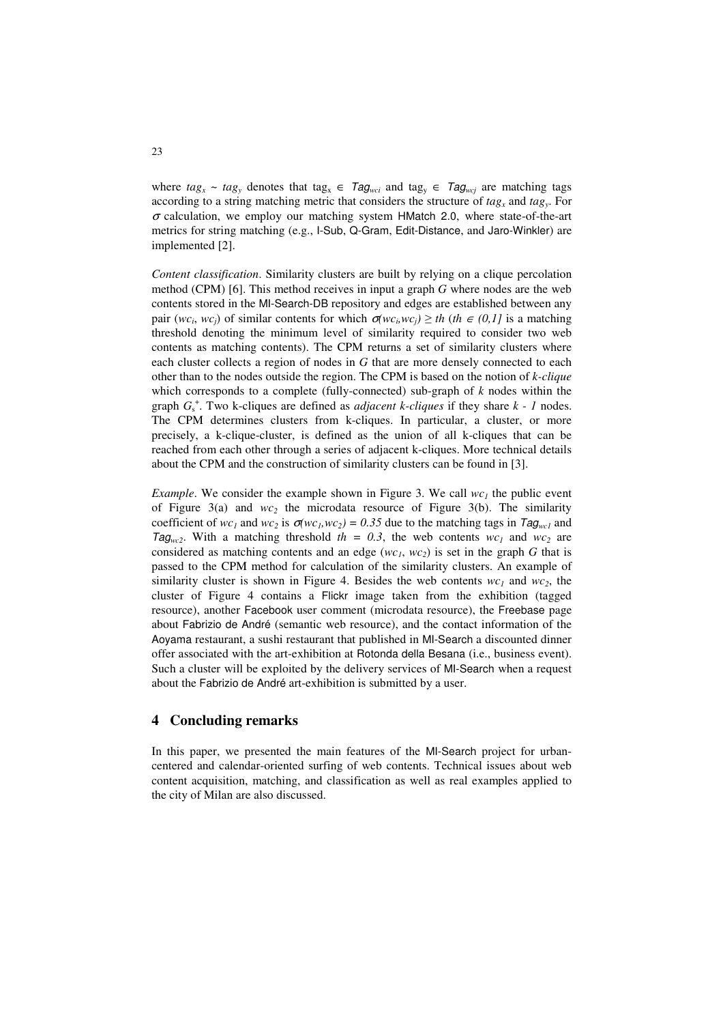where  $tag_x \sim tag_y$  denotes that tag<sub>*x*</sub>  $\in Tag_{wci}$  and tag<sub>*y*</sub>  $\in Tag_{wcj}$  are matching tags according to a string matching metric that considers the structure of *tag<sup>x</sup>* and *tag<sup>y</sup>* . For  $\sigma$  calculation, we employ our matching system HMatch 2.0, where state-of-the-art metrics for string matching (e.g., I-Sub, Q-Gram, Edit-Distance, and Jaro-Winkler) are implemented [2].

*Content classification*. Similarity clusters are built by relying on a clique percolation method (CPM) [6]. This method receives in input a graph *G* where nodes are the web contents stored in the MI-Search-DB repository and edges are established between any pair  $(wc_i, wc_j)$  of similar contents for which  $\sigma(wc_i, wc_j) \geq th$  (*th*  $\in (0,1]$  is a matching threshold denoting the minimum level of similarity required to consider two web contents as matching contents). The CPM returns a set of similarity clusters where each cluster collects a region of nodes in *G* that are more densely connected to each other than to the nodes outside the region. The CPM is based on the notion of *k-clique* which corresponds to a complete (fully-connected) sub-graph of *k* nodes within the graph  $G_s^*$ . Two k-cliques are defined as *adjacent k-cliques* if they share  $k - 1$  nodes. The CPM determines clusters from k-cliques. In particular, a cluster, or more precisely, a k-clique-cluster, is defined as the union of all k-cliques that can be reached from each other through a series of adjacent k-cliques. More technical details about the CPM and the construction of similarity clusters can be found in [3].

*Example*. We consider the example shown in Figure 3. We call  $wc<sub>1</sub>$  the public event of Figure 3(a) and *wc2* the microdata resource of Figure 3(b). The similarity coefficient of  $wc_1$  and  $wc_2$  is  $\sigma(wc_1,wc_2) = 0.35$  due to the matching tags in Tag<sub>wc1</sub> and Tag<sub>wc2</sub>. With a matching threshold  $th = 0.3$ , the web contents  $wc_1$  and  $wc_2$  are considered as matching contents and an edge  $(wc_1, wc_2)$  is set in the graph *G* that is passed to the CPM method for calculation of the similarity clusters. An example of similarity cluster is shown in Figure 4. Besides the web contents  $wc_1$  and  $wc_2$ , the cluster of Figure 4 contains a Flickr image taken from the exhibition (tagged resource), another Facebook user comment (microdata resource), the Freebase page about Fabrizio de André (semantic web resource), and the contact information of the Aoyama restaurant, a sushi restaurant that published in MI-Search a discounted dinner offer associated with the art-exhibition at Rotonda della Besana (i.e., business event). Such a cluster will be exploited by the delivery services of MI-Search when a request about the Fabrizio de André art-exhibition is submitted by a user.

### **4 Concluding remarks**

In this paper, we presented the main features of the MI-Search project for urbancentered and calendar-oriented surfing of web contents. Technical issues about web content acquisition, matching, and classification as well as real examples applied to the city of Milan are also discussed.